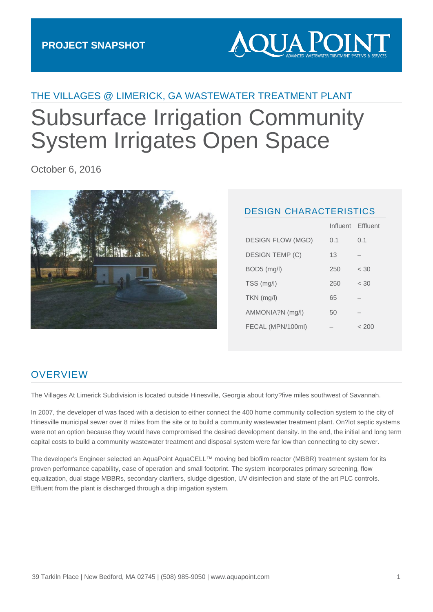# **AQUA POIN**

## THE VILLAGES @ LIMERICK, GA WASTEWATER TREATMENT PLANT Subsurface Irrigation Community System Irrigates Open Space

October 6, 2016



#### DESIGN CHARACTERISTICS

|                          |     | Influent Effluent |
|--------------------------|-----|-------------------|
| <b>DESIGN FLOW (MGD)</b> | 0.1 | 0.1               |
| DESIGN TEMP (C)          | 13  |                   |
| $BOD5$ (mg/l)            | 250 | < 30              |
| TSS (mg/l)               | 250 | < 30              |
| $TKN$ (mg/l)             | 65  |                   |
| AMMONIA?N (mg/l)         | 50  |                   |
| FECAL (MPN/100ml)        |     | < 200             |

### **OVERVIEW**

The Villages At Limerick Subdivision is located outside Hinesville, Georgia about forty?five miles southwest of Savannah.

In 2007, the developer of was faced with a decision to either connect the 400 home community collection system to the city of Hinesville municipal sewer over 8 miles from the site or to build a community wastewater treatment plant. On?lot septic systems were not an option because they would have compromised the desired development density. In the end, the initial and long term capital costs to build a community wastewater treatment and disposal system were far low than connecting to city sewer.

The developer's Engineer selected an AquaPoint AquaCELL™ moving bed biofilm reactor (MBBR) treatment system for its proven performance capability, ease of operation and small footprint. The system incorporates primary screening, flow equalization, dual stage MBBRs, secondary clarifiers, sludge digestion, UV disinfection and state of the art PLC controls. Effluent from the plant is discharged through a drip irrigation system.